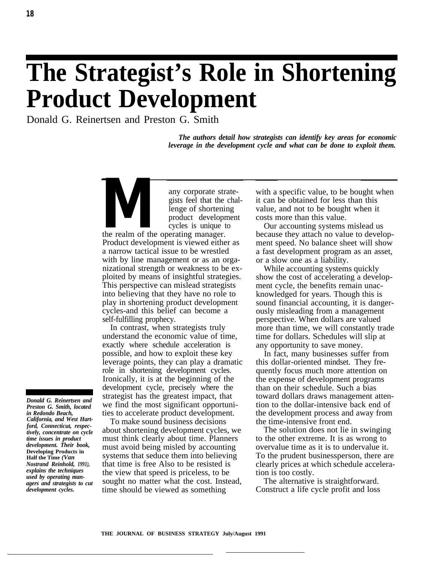# **The Strategist's Role in Shortening Product Development**

Donald G. Reinertsen and Preston G. Smith

*The authors detail how strategists can identify key areas for economic leverage in the development cycle and what can be done to exploit them.*

**Many corporate strate-**<br>gists feel that the chal<br>lenge of shortening<br>product development<br>cycles is unique to<br>the realm of the operating manager. gists feel that the challenge of shortening product development cycles is unique to Product development is viewed either as a narrow tactical issue to be wrestled with by line management or as an organizational strength or weakness to be exploited by means of insightful strategies. This perspective can mislead strategists into believing that they have no role to play in shortening product development cycles-and this belief can become a self-fulfilling prophecy.

In contrast, when strategists truly understand the economic value of time, exactly where schedule acceleration is possible, and how to exploit these key leverage points, they can play a dramatic role in shortening development cycles. Ironically, it is at the beginning of the development cycle, precisely where the strategist has the greatest impact, that we find the most significant opportunities to accelerate product development.

To make sound business decisions about shortening development cycles, we must think clearly about time. Planners must avoid being misled by accounting systems that seduce them into believing that time is free Also to be resisted is the view that speed is priceless, to be sought no matter what the cost. Instead, time should be viewed as something

with a specific value, to be bought when it can be obtained for less than this value, and not to be bought when it costs more than this value.

Our accounting systems mislead us because they attach no value to development speed. No balance sheet will show a fast development program as an asset, or a slow one as a liability.

While accounting systems quickly show the cost of accelerating a development cycle, the benefits remain unacknowledged for years. Though this is sound financial accounting, it is dangerously misleading from a management perspective. When dollars are valued more than time, we will constantly trade time for dollars. Schedules will slip at any opportunity to save money.

In fact, many businesses suffer from this dollar-oriented mindset. They frequently focus much more attention on the expense of development programs than on their schedule. Such a bias toward dollars draws management attention to the dollar-intensive back end of the development process and away from the time-intensive front end.

The solution does not lie in swinging to the other extreme. It is as wrong to overvalue time as it is to undervalue it. To the prudent businessperson, there are clearly prices at which schedule acceleration is too costly.

The alternative is straightforward. Construct a life cycle profit and loss

*Donald G. Reinertsen and Preston G. Smith, located in Redondo Beach, California, and West Hartford, Connecticut, respectively, concentrate on cycle time issues in product development. Their book,* **Developing Products in Half the Time** *(Van Nostrand Reinhold, 1991), explains the techniques used by operating managers and strategists to cut development cycles.*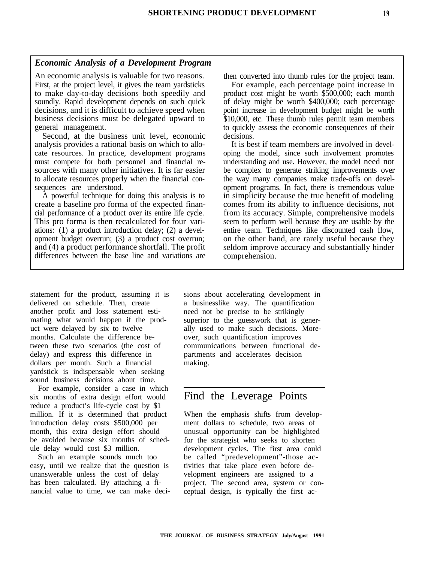#### *Economic Analysis of a Development Program*

An economic analysis is valuable for two reasons. then converted into thumb rules for the project team. First, at the project level, it gives the team yardsticks For example, each percentage point increase in to make day-to-day decisions both speedily and product cost might be worth \$500,000; each month soundly. Rapid development depends on such quick of delay might be worth \$400,000; each percentage decisions, and it is difficult to achieve speed when point increase in development budget might be worth business decisions must be delegated upward to \$10,000, etc. These thumb rules permit team members general management. to quickly assess the economic consequences of their

Second, at the business unit level, economic decisions. analysis provides a rational basis on which to allo- It is best if team members are involved in develcate resources. In practice, development programs oping the model, since such involvement promotes must compete for both personnel and financial re- understanding and use. However, the model need not sources with many other initiatives. It is far easier be complex to generate striking improvements over to allocate resources properly when the financial con- the way many companies make trade-offs on develsequences are understood.  $\blacksquare$  opment programs. In fact, there is tremendous value

create a baseline pro forma of the expected finan- comes from its ability to influence decisions, not cial performance of a product over its entire life cycle. from its accuracy. Simple, comprehensive models This pro forma is then recalculated for four vari- seem to perform well because they are usable by the ations: (1) a product introduction delay; (2) a devel- entire team. Techniques like discounted cash flow, opment budget overrun; (3) a product cost overrun; on the other hand, are rarely useful because they and (4) a product performance shortfall. The profit seldom improve accuracy and substantially hinder differences between the base line and variations are comprehension.

A powerful technique for doing this analysis is to in simplicity because the true benefit of modeling

statement for the product, assuming it is delivered on schedule. Then, create another profit and loss statement estimating what would happen if the product were delayed by six to twelve months. Calculate the difference between these two scenarios (the cost of delay) and express this difference in dollars per month. Such a financial yardstick is indispensable when seeking sound business decisions about time.

For example, consider a case in which six months of extra design effort would reduce a product's life-cycle cost by \$1 million. If it is determined that product introduction delay costs \$500,000 per month, this extra design effort should be avoided because six months of schedule delay would cost \$3 million.

Such an example sounds much too easy, until we realize that the question is unanswerable unless the cost of delay has been calculated. By attaching a financial value to time, we can make deci-

sions about accelerating development in a businesslike way. The quantification need not be precise to be strikingly superior to the guesswork that is generally used to make such decisions. Moreover, such quantification improves communications between functional departments and accelerates decision making.

### Find the Leverage Points

When the emphasis shifts from development dollars to schedule, two areas of unusual opportunity can be highlighted for the strategist who seeks to shorten development cycles. The first area could be called "predevelopment"-those activities that take place even before development engineers are assigned to a project. The second area, system or conceptual design, is typically the first ac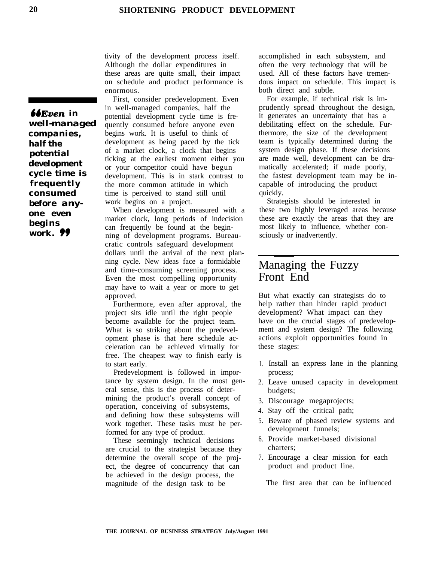tivity of the development process itself. Although the dollar expenditures in these areas are quite small, their impact on schedule and product performance is enormous.

First, consider predevelopment. Even in well-managed companies, half the potential development cycle time is frequently consumed before anyone even begins work. It is useful to think of development as being paced by the tick of a market clock, a clock that begins ticking at the earliest moment either you or your competitor could have begun development. This is in stark contrast to the more common attitude in which time is perceived to stand still until work begins on a project.

When development is measured with a market clock, long periods of indecision can frequently be found at the beginning of development programs. Bureaucratic controls safeguard development dollars until the arrival of the next planning cycle. New ideas face a formidable and time-consuming screening process. Even the most compelling opportunity may have to wait a year or more to get approved.

Furthermore, even after approval, the project sits idle until the right people become available for the project team. What is so striking about the predevelopment phase is that here schedule acceleration can be achieved virtually for free. The cheapest way to finish early is to start early.

Predevelopment is followed in importance by system design. In the most general sense, this is the process of determining the product's overall concept of operation, conceiving of subsystems, and defining how these subsystems will work together. These tasks must be performed for any type of product.

These seemingly technical decisions are crucial to the strategist because they determine the overall scope of the project, the degree of concurrency that can be achieved in the design process, the magnitude of the design task to be

accomplished in each subsystem, and often the very technology that will be used. All of these factors have tremendous impact on schedule. This impact is both direct and subtle.

For example, if technical risk is imprudently spread throughout the design, it generates an uncertainty that has a debilitating effect on the schedule. Furthermore, the size of the development team is typically determined during the system design phase. If these decisions are made well, development can be dramatically accelerated; if made poorly, the fastest development team may be incapable of introducing the product quickly.

Strategists should be interested in these two highly leveraged areas because these are exactly the areas that they are most likely to influence, whether consciously or inadvertently.

## Managing the Fuzzy Front End

But what exactly can strategists do to help rather than hinder rapid product development? What impact can they have on the crucial stages of predevelopment and system design? The following actions exploit opportunities found in these stages:

- 1. Install an express lane in the planning process;
- 2. Leave unused capacity in development budgets;
- 3. Discourage megaprojects;
- 4. Stay off the critical path;
- 5. Beware of phased review systems and development funnels;
- 6. Provide market-based divisional charters;
- 7. Encourage a clear mission for each product and product line.

The first area that can be influenced

*66Even in well-managed companies, half the potential development cycle time is frequently consumed before anyone even begins work. 99*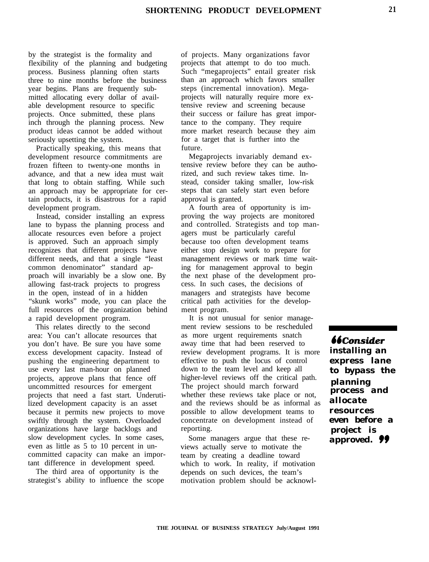by the strategist is the formality and flexibility of the planning and budgeting process. Business planning often starts three to nine months before the business year begins. Plans are frequently submitted allocating every dollar of available development resource to specific projects. Once submitted, these plans inch through the planning process. New product ideas cannot be added without seriously upsetting the system.

Practically speaking, this means that development resource commitments are frozen fifteen to twenty-one months in advance, and that a new idea must wait that long to obtain staffing. While such an approach may be appropriate for certain products, it is disastrous for a rapid development program.

Instead, consider installing an express lane to bypass the planning process and allocate resources even before a project is approved. Such an approach simply recognizes that different projects have different needs, and that a single "least common denominator" standard approach will invariably be a slow one. By allowing fast-track projects to progress in the open, instead of in a hidden "skunk works" mode, you can place the full resources of the organization behind a rapid development program.

This relates directly to the second area: You can't allocate resources that you don't have. Be sure you have some excess development capacity. Instead of pushing the engineering department to use every last man-hour on planned projects, approve plans that fence off uncommitted resources for emergent projects that need a fast start. Underutilized development capacity is an asset because it permits new projects to move swiftly through the system. Overloaded organizations have large backlogs and slow development cycles. In some cases, even as little as 5 to 10 percent in uncommitted capacity can make an important difference in development speed.

The third area of opportunity is the strategist's ability to influence the scope of projects. Many organizations favor projects that attempt to do too much. Such "megaprojects" entail greater risk than an approach which favors smaller steps (incremental innovation). Megaprojects will naturally require more extensive review and screening because their success or failure has great importance to the company. They require more market research because they aim for a target that is further into the future.

Megaprojects invariably demand extensive review before they can be authorized, and such review takes time. lnstead, consider taking smaller, low-risk steps that can safely start even before approval is granted.

A fourth area of opportunity is improving the way projects are monitored and controlled. Strategists and top managers must be particularly careful because too often development teams either stop design work to prepare for management reviews or mark time waiting for management approval to begin the next phase of the development process. In such cases, the decisions of managers and strategists have become critical path activities for the development program.

It is not unusual for senior management review sessions to be rescheduled as more urgent requirements snatch away time that had been reserved to review development programs. It is more effective to push the locus of control down to the team level and keep all higher-level reviews off the critical path. The project should march forward whether these reviews take place or not, and the reviews should be as informal as possible to allow development teams to concentrate on development instead of reporting.

Some managers argue that these reviews actually serve to motivate the team by creating a deadline toward which to work. In reality, if motivation depends on such devices, the team's motivation problem should be acknowl-

**bbConsider** *installing an express lane to bypass the planning process and allocate resources even before a project is approved. 99*